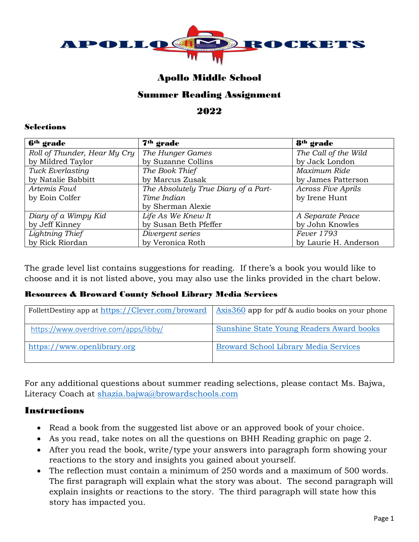

# Apollo Middle School

## Summer Reading Assignment

2022

#### Selections

| 6 <sup>th</sup> grade        | 7 <sup>th</sup> grade                | 8 <sup>th</sup> grade     |  |
|------------------------------|--------------------------------------|---------------------------|--|
| Roll of Thunder, Hear My Cry | The Hunger Games                     | The Call of the Wild      |  |
| by Mildred Taylor            | by Suzanne Collins                   | by Jack London            |  |
| Tuck Everlasting             | The Book Thief                       | Maximum Ride              |  |
| by Natalie Babbitt           | by Marcus Zusak                      | by James Patterson        |  |
| Artemis Fowl                 | The Absolutely True Diary of a Part- | <b>Across Five Aprils</b> |  |
| by Eoin Colfer               | Time Indian                          | by Irene Hunt             |  |
|                              | by Sherman Alexie                    |                           |  |
| Diary of a Wimpy Kid         | Life As We Knew It                   | A Separate Peace          |  |
| by Jeff Kinney               | by Susan Beth Pfeffer                | by John Knowles           |  |
| Lightning Thief              | Divergent series                     | Fever 1793                |  |
| by Rick Riordan              | by Veronica Roth                     | by Laurie H. Anderson     |  |

The grade level list contains suggestions for reading. If there's a book you would like to choose and it is not listed above, you may also use the links provided in the chart below.

### Resources & Broward County School Library Media Services

| FollettDestiny app at https://Clever.com/broward | Axis 360 app for pdf & audio books on your phone |
|--------------------------------------------------|--------------------------------------------------|
| https://www.overdrive.com/apps/libby/            | <b>Sunshine State Young Readers Award books</b>  |
| https://www.openlibrary.org                      | <b>Broward School Library Media Services</b>     |

For any additional questions about summer reading selections, please contact Ms. Bajwa, Literacy Coach at [shazia.bajwa@browardschools.com](mailto:shazia.bajwa@browardschools.com)

### Instructions

- Read a book from the suggested list above or an approved book of your choice.
- As you read, take notes on all the questions on BHH Reading graphic on page 2.
- After you read the book, write/type your answers into paragraph form showing your reactions to the story and insights you gained about yourself.
- The reflection must contain a minimum of 250 words and a maximum of 500 words. The first paragraph will explain what the story was about. The second paragraph will explain insights or reactions to the story. The third paragraph will state how this story has impacted you.